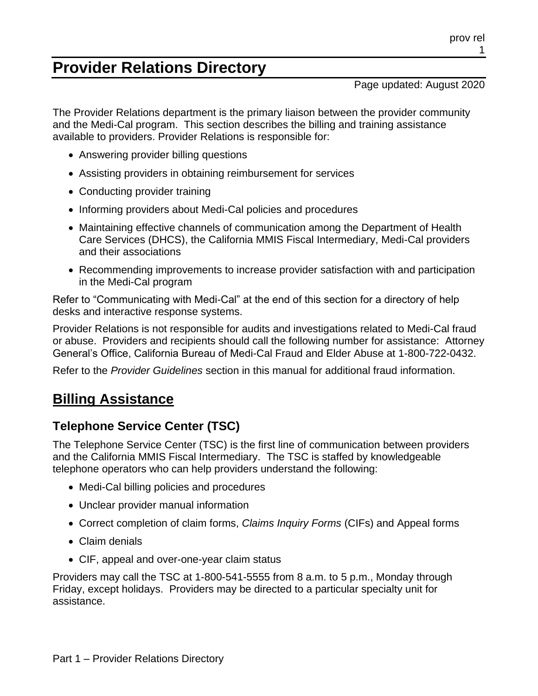# **Provider Relations Directory**

Page updated: August 2020

The Provider Relations department is the primary liaison between the provider community and the Medi-Cal program. This section describes the billing and training assistance available to providers. Provider Relations is responsible for:

- Answering provider billing questions
- Assisting providers in obtaining reimbursement for services
- Conducting provider training
- Informing providers about Medi-Cal policies and procedures
- Maintaining effective channels of communication among the Department of Health Care Services (DHCS), the California MMIS Fiscal Intermediary, Medi-Cal providers and their associations
- Recommending improvements to increase provider satisfaction with and participation in the Medi-Cal program

Refer to "Communicating with Medi-Cal" at the end of this section for a directory of help desks and interactive response systems.

Provider Relations is not responsible for audits and investigations related to Medi-Cal fraud or abuse. Providers and recipients should call the following number for assistance: Attorney General's Office, California Bureau of Medi-Cal Fraud and Elder Abuse at 1-800-722-0432.

Refer to the *Provider Guidelines* section in this manual for additional fraud information.

# **Billing Assistance**

# **Telephone Service Center (TSC)**

The Telephone Service Center (TSC) is the first line of communication between providers and the California MMIS Fiscal Intermediary. The TSC is staffed by knowledgeable telephone operators who can help providers understand the following:

- Medi-Cal billing policies and procedures
- Unclear provider manual information
- Correct completion of claim forms, *Claims Inquiry Forms* (CIFs) and Appeal forms
- Claim denials
- CIF, appeal and over-one-year claim status

Providers may call the TSC at 1-800-541-5555 from 8 a.m. to 5 p.m., Monday through Friday, except holidays. Providers may be directed to a particular specialty unit for assistance.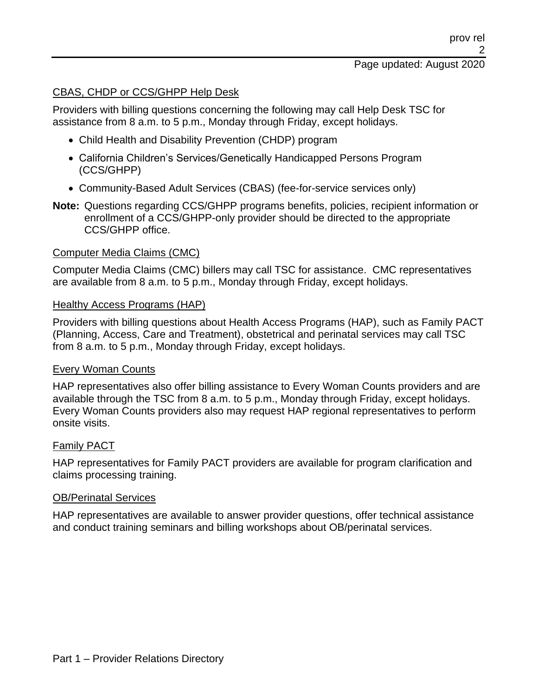#### CBAS, CHDP or CCS/GHPP Help Desk

Providers with billing questions concerning the following may call Help Desk TSC for assistance from 8 a.m. to 5 p.m., Monday through Friday, except holidays.

- Child Health and Disability Prevention (CHDP) program
- California Children's Services/Genetically Handicapped Persons Program (CCS/GHPP)
- Community-Based Adult Services (CBAS) (fee-for-service services only)
- **Note:** Questions regarding CCS/GHPP programs benefits, policies, recipient information or enrollment of a CCS/GHPP-only provider should be directed to the appropriate CCS/GHPP office.

#### Computer Media Claims (CMC)

Computer Media Claims (CMC) billers may call TSC for assistance. CMC representatives are available from 8 a.m. to 5 p.m., Monday through Friday, except holidays.

#### Healthy Access Programs (HAP)

Providers with billing questions about Health Access Programs (HAP), such as Family PACT (Planning, Access, Care and Treatment), obstetrical and perinatal services may call TSC from 8 a.m. to 5 p.m., Monday through Friday, except holidays.

#### Every Woman Counts

HAP representatives also offer billing assistance to Every Woman Counts providers and are available through the TSC from 8 a.m. to 5 p.m., Monday through Friday, except holidays. Every Woman Counts providers also may request HAP regional representatives to perform onsite visits.

#### Family PACT

HAP representatives for Family PACT providers are available for program clarification and claims processing training.

#### OB/Perinatal Services

HAP representatives are available to answer provider questions, offer technical assistance and conduct training seminars and billing workshops about OB/perinatal services.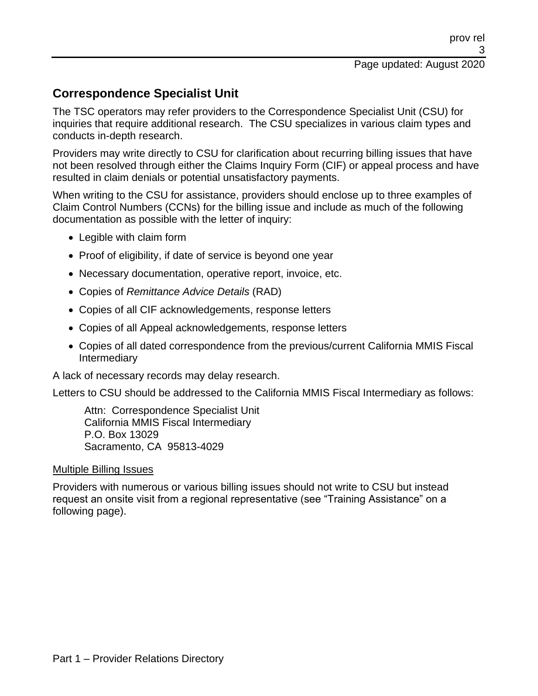## **Correspondence Specialist Unit**

The TSC operators may refer providers to the Correspondence Specialist Unit (CSU) for inquiries that require additional research. The CSU specializes in various claim types and conducts in-depth research.

Providers may write directly to CSU for clarification about recurring billing issues that have not been resolved through either the Claims Inquiry Form (CIF) or appeal process and have resulted in claim denials or potential unsatisfactory payments.

When writing to the CSU for assistance, providers should enclose up to three examples of Claim Control Numbers (CCNs) for the billing issue and include as much of the following documentation as possible with the letter of inquiry:

- Legible with claim form
- Proof of eligibility, if date of service is beyond one year
- Necessary documentation, operative report, invoice, etc.
- Copies of *Remittance Advice Details* (RAD)
- Copies of all CIF acknowledgements, response letters
- Copies of all Appeal acknowledgements, response letters
- Copies of all dated correspondence from the previous/current California MMIS Fiscal Intermediary

A lack of necessary records may delay research.

Letters to CSU should be addressed to the California MMIS Fiscal Intermediary as follows:

Attn: Correspondence Specialist Unit California MMIS Fiscal Intermediary P.O. Box 13029 Sacramento, CA 95813-4029

#### Multiple Billing Issues

Providers with numerous or various billing issues should not write to CSU but instead request an onsite visit from a regional representative (see "Training Assistance" on a following page).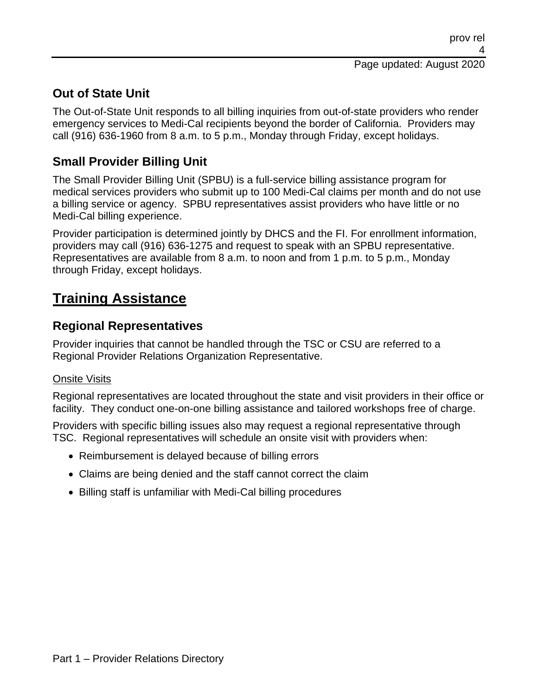## **Out of State Unit**

The Out-of-State Unit responds to all billing inquiries from out-of-state providers who render emergency services to Medi-Cal recipients beyond the border of California. Providers may call (916) 636-1960 from 8 a.m. to 5 p.m., Monday through Friday, except holidays.

## **Small Provider Billing Unit**

The Small Provider Billing Unit (SPBU) is a full-service billing assistance program for medical services providers who submit up to 100 Medi-Cal claims per month and do not use a billing service or agency. SPBU representatives assist providers who have little or no Medi-Cal billing experience.

Provider participation is determined jointly by DHCS and the FI. For enrollment information, providers may call (916) 636-1275 and request to speak with an SPBU representative. Representatives are available from 8 a.m. to noon and from 1 p.m. to 5 p.m., Monday through Friday, except holidays.

# **Training Assistance**

### **Regional Representatives**

Provider inquiries that cannot be handled through the TSC or CSU are referred to a Regional Provider Relations Organization Representative.

#### Onsite Visits

Regional representatives are located throughout the state and visit providers in their office or facility. They conduct one-on-one billing assistance and tailored workshops free of charge.

Providers with specific billing issues also may request a regional representative through TSC. Regional representatives will schedule an onsite visit with providers when:

- Reimbursement is delayed because of billing errors
- Claims are being denied and the staff cannot correct the claim
- Billing staff is unfamiliar with Medi-Cal billing procedures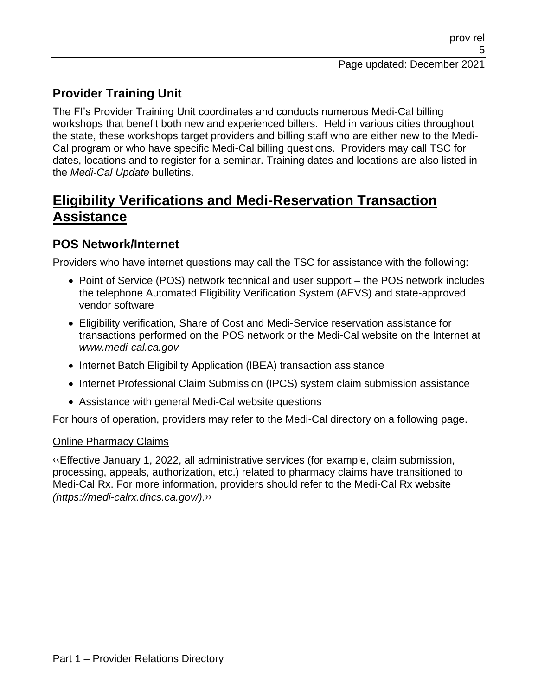## **Provider Training Unit**

The FI's Provider Training Unit coordinates and conducts numerous Medi-Cal billing workshops that benefit both new and experienced billers. Held in various cities throughout the state, these workshops target providers and billing staff who are either new to the Medi-Cal program or who have specific Medi-Cal billing questions. Providers may call TSC for dates, locations and to register for a seminar. Training dates and locations are also listed in the *Medi-Cal Update* bulletins.

# **Eligibility Verifications and Medi-Reservation Transaction Assistance**

### **POS Network/Internet**

Providers who have internet questions may call the TSC for assistance with the following:

- Point of Service (POS) network technical and user support the POS network includes the telephone Automated Eligibility Verification System (AEVS) and state-approved vendor software
- Eligibility verification, Share of Cost and Medi-Service reservation assistance for transactions performed on the POS network or the Medi-Cal website on the Internet at *www.medi-cal.ca.gov*
- Internet Batch Eligibility Application (IBEA) transaction assistance
- Internet Professional Claim Submission (IPCS) system claim submission assistance
- Assistance with general Medi-Cal website questions

For hours of operation, providers may refer to the Medi-Cal directory on a following page.

#### Online Pharmacy Claims

[‹‹E](#page-12-0)ffective January 1, 2022, all administrative services (for example, claim submission, processing, appeals, authorization, etc.) related to pharmacy claims have transitioned to Medi-Cal Rx. For more information, providers should refer to the Medi-Cal Rx website *(https://medi-calrx.dhcs.ca.gov/)*[.››](#page-12-1)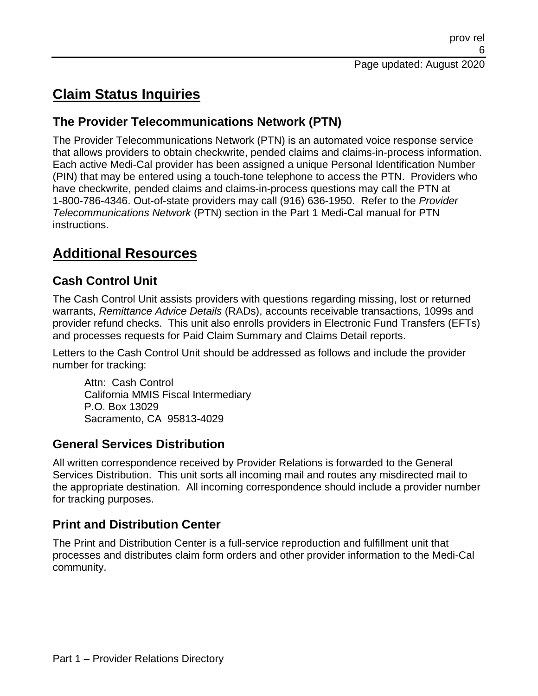# **Claim Status Inquiries**

## **The Provider Telecommunications Network (PTN)**

The Provider Telecommunications Network (PTN) is an automated voice response service that allows providers to obtain checkwrite, pended claims and claims-in-process information. Each active Medi-Cal provider has been assigned a unique Personal Identification Number (PIN) that may be entered using a touch-tone telephone to access the PTN. Providers who have checkwrite, pended claims and claims-in-process questions may call the PTN at 1-800-786-4346. Out-of-state providers may call (916) 636-1950. Refer to the *Provider Telecommunications Network* (PTN) section in the Part 1 Medi-Cal manual for PTN instructions.

# **Additional Resources**

## **Cash Control Unit**

The Cash Control Unit assists providers with questions regarding missing, lost or returned warrants, *Remittance Advice Details* (RADs), accounts receivable transactions, 1099s and provider refund checks. This unit also enrolls providers in Electronic Fund Transfers (EFTs) and processes requests for Paid Claim Summary and Claims Detail reports.

Letters to the Cash Control Unit should be addressed as follows and include the provider number for tracking:

Attn: Cash Control California MMIS Fiscal Intermediary P.O. Box 13029 Sacramento, CA 95813-4029

#### **General Services Distribution**

All written correspondence received by Provider Relations is forwarded to the General Services Distribution. This unit sorts all incoming mail and routes any misdirected mail to the appropriate destination. All incoming correspondence should include a provider number for tracking purposes.

## **Print and Distribution Center**

The Print and Distribution Center is a full-service reproduction and fulfillment unit that processes and distributes claim form orders and other provider information to the Medi-Cal community.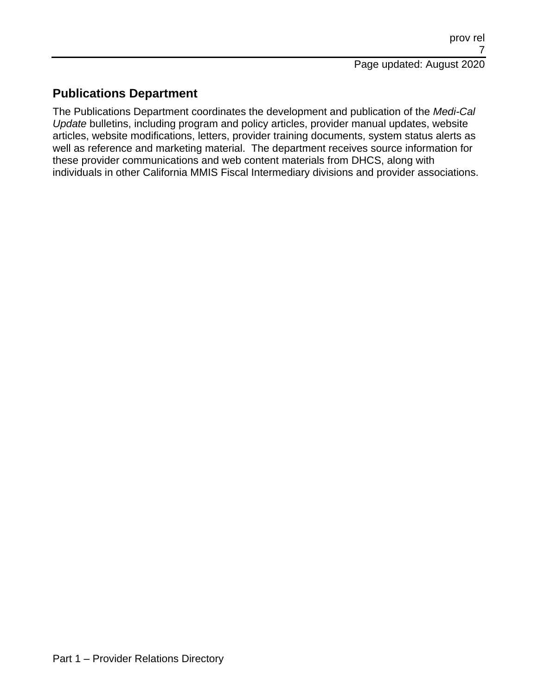## **Publications Department**

The Publications Department coordinates the development and publication of the *Medi-Cal Update* bulletins, including program and policy articles, provider manual updates, website articles, website modifications, letters, provider training documents, system status alerts as well as reference and marketing material. The department receives source information for these provider communications and web content materials from DHCS, along with individuals in other California MMIS Fiscal Intermediary divisions and provider associations.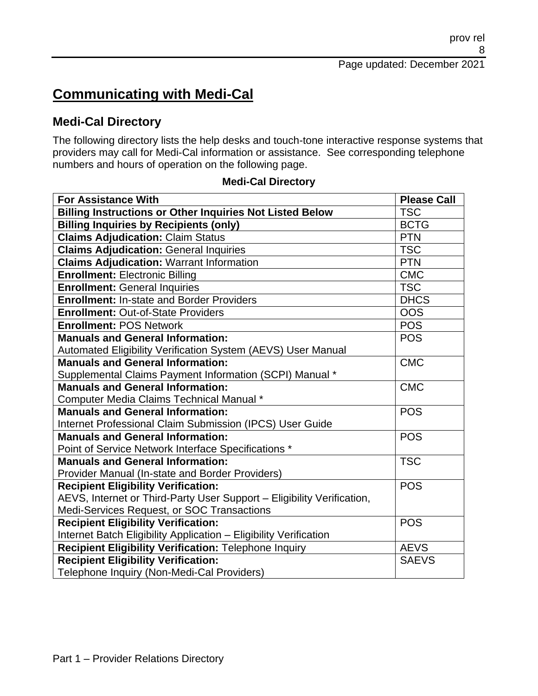Page updated: December 2021

# **Communicating with Medi-Cal**

#### **Medi-Cal Directory**

The following directory lists the help desks and touch-tone interactive response systems that providers may call for Medi-Cal information or assistance. See corresponding telephone numbers and hours of operation on the following page.

| <b>For Assistance With</b>                                             | <b>Please Call</b> |
|------------------------------------------------------------------------|--------------------|
| <b>Billing Instructions or Other Inquiries Not Listed Below</b>        | <b>TSC</b>         |
| <b>Billing Inquiries by Recipients (only)</b>                          | <b>BCTG</b>        |
| <b>Claims Adjudication: Claim Status</b>                               | <b>PTN</b>         |
| <b>Claims Adjudication: General Inquiries</b>                          | <b>TSC</b>         |
| <b>Claims Adjudication: Warrant Information</b>                        | <b>PTN</b>         |
| <b>Enrollment: Electronic Billing</b>                                  | <b>CMC</b>         |
| <b>Enrollment: General Inquiries</b>                                   | <b>TSC</b>         |
| <b>Enrollment: In-state and Border Providers</b>                       | <b>DHCS</b>        |
| <b>Enrollment: Out-of-State Providers</b>                              | <b>OOS</b>         |
| <b>Enrollment: POS Network</b>                                         | <b>POS</b>         |
| <b>Manuals and General Information:</b>                                | <b>POS</b>         |
| Automated Eligibility Verification System (AEVS) User Manual           |                    |
| <b>Manuals and General Information:</b>                                | <b>CMC</b>         |
| Supplemental Claims Payment Information (SCPI) Manual *                |                    |
| <b>Manuals and General Information:</b>                                | <b>CMC</b>         |
| Computer Media Claims Technical Manual *                               |                    |
| <b>Manuals and General Information:</b>                                | <b>POS</b>         |
| Internet Professional Claim Submission (IPCS) User Guide               |                    |
| <b>Manuals and General Information:</b>                                | <b>POS</b>         |
| Point of Service Network Interface Specifications *                    |                    |
| <b>Manuals and General Information:</b>                                | <b>TSC</b>         |
| Provider Manual (In-state and Border Providers)                        |                    |
| <b>Recipient Eligibility Verification:</b>                             | <b>POS</b>         |
| AEVS, Internet or Third-Party User Support - Eligibility Verification, |                    |
| Medi-Services Request, or SOC Transactions                             |                    |
| <b>Recipient Eligibility Verification:</b>                             | <b>POS</b>         |
| Internet Batch Eligibility Application - Eligibility Verification      |                    |
| Recipient Eligibility Verification: Telephone Inquiry                  | <b>AEVS</b>        |
| <b>Recipient Eligibility Verification:</b>                             | <b>SAEVS</b>       |
| Telephone Inquiry (Non-Medi-Cal Providers)                             |                    |

#### **Medi-Cal Directory**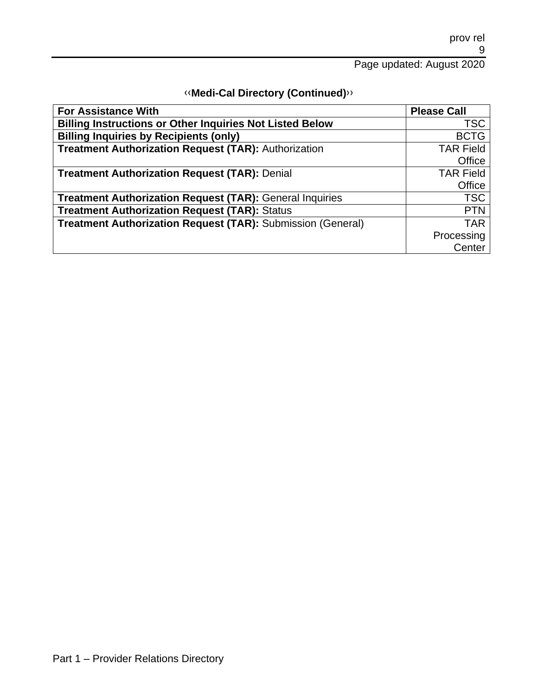| <b>«Medi-Cal Directory (Continued)</b> » |  |
|------------------------------------------|--|
|------------------------------------------|--|

| <b>For Assistance With</b>                                      | <b>Please Call</b> |
|-----------------------------------------------------------------|--------------------|
| <b>Billing Instructions or Other Inquiries Not Listed Below</b> | <b>TSC</b>         |
| <b>Billing Inquiries by Recipients (only)</b>                   | <b>BCTG</b>        |
| <b>Treatment Authorization Request (TAR): Authorization</b>     | <b>TAR Field</b>   |
|                                                                 | Office             |
| <b>Treatment Authorization Request (TAR): Denial</b>            | <b>TAR Field</b>   |
|                                                                 | Office             |
| <b>Treatment Authorization Request (TAR): General Inquiries</b> | <b>TSC</b>         |
| <b>Treatment Authorization Request (TAR): Status</b>            | <b>PTN</b>         |
| Treatment Authorization Request (TAR): Submission (General)     | <b>TAR</b>         |
|                                                                 | Processing         |
|                                                                 | Center             |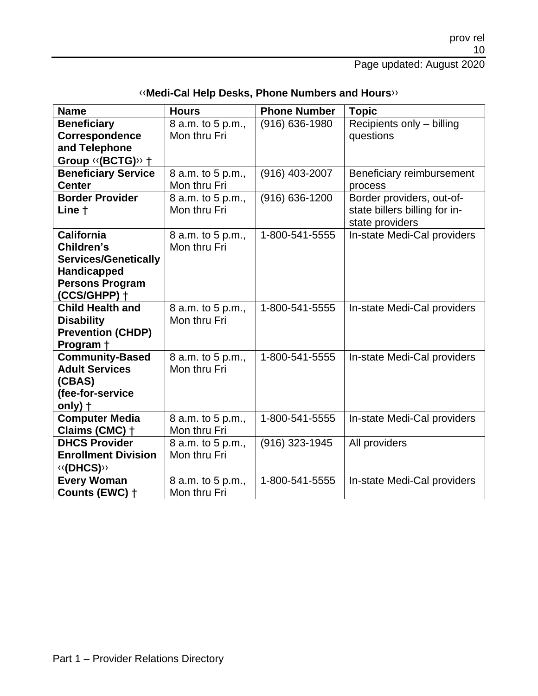|  | «Medi-Cal Help Desks, Phone Numbers and Hours» |
|--|------------------------------------------------|
|--|------------------------------------------------|

| <b>Name</b>                                       | <b>Hours</b>      | <b>Phone Number</b> | <b>Topic</b>                  |
|---------------------------------------------------|-------------------|---------------------|-------------------------------|
| <b>Beneficiary</b>                                | 8 a.m. to 5 p.m., | $(916) 636 - 1980$  | Recipients only - billing     |
| Correspondence                                    | Mon thru Fri      |                     | questions                     |
| and Telephone                                     |                   |                     |                               |
| Group << (BCTG)>> +<br><b>Beneficiary Service</b> | 8 a.m. to 5 p.m., | (916) 403-2007      | Beneficiary reimbursement     |
| <b>Center</b>                                     | Mon thru Fri      |                     | process                       |
| <b>Border Provider</b>                            | 8 a.m. to 5 p.m., | (916) 636-1200      | Border providers, out-of-     |
| Line +                                            | Mon thru Fri      |                     | state billers billing for in- |
|                                                   |                   |                     | state providers               |
| <b>California</b>                                 | 8 a.m. to 5 p.m., | 1-800-541-5555      | In-state Medi-Cal providers   |
| Children's                                        | Mon thru Fri      |                     |                               |
| <b>Services/Genetically</b>                       |                   |                     |                               |
| <b>Handicapped</b>                                |                   |                     |                               |
| <b>Persons Program</b>                            |                   |                     |                               |
| (CCS/GHPP) +                                      |                   |                     |                               |
| <b>Child Health and</b>                           | 8 a.m. to 5 p.m., | 1-800-541-5555      | In-state Medi-Cal providers   |
| <b>Disability</b>                                 | Mon thru Fri      |                     |                               |
| <b>Prevention (CHDP)</b>                          |                   |                     |                               |
| Program +                                         |                   |                     |                               |
| <b>Community-Based</b>                            | 8 a.m. to 5 p.m., | 1-800-541-5555      | In-state Medi-Cal providers   |
| <b>Adult Services</b>                             | Mon thru Fri      |                     |                               |
| (CBAS)                                            |                   |                     |                               |
| (fee-for-service<br>only) $\dagger$               |                   |                     |                               |
| <b>Computer Media</b>                             | 8 a.m. to 5 p.m., | 1-800-541-5555      | In-state Medi-Cal providers   |
| Claims (CMC) +                                    | Mon thru Fri      |                     |                               |
| <b>DHCS Provider</b>                              | 8 a.m. to 5 p.m., | (916) 323-1945      | All providers                 |
| <b>Enrollment Division</b>                        | Mon thru Fri      |                     |                               |
| «(DHCS)»                                          |                   |                     |                               |
| <b>Every Woman</b>                                | 8 a.m. to 5 p.m., | 1-800-541-5555      | In-state Medi-Cal providers   |
| Counts (EWC) +                                    | Mon thru Fri      |                     |                               |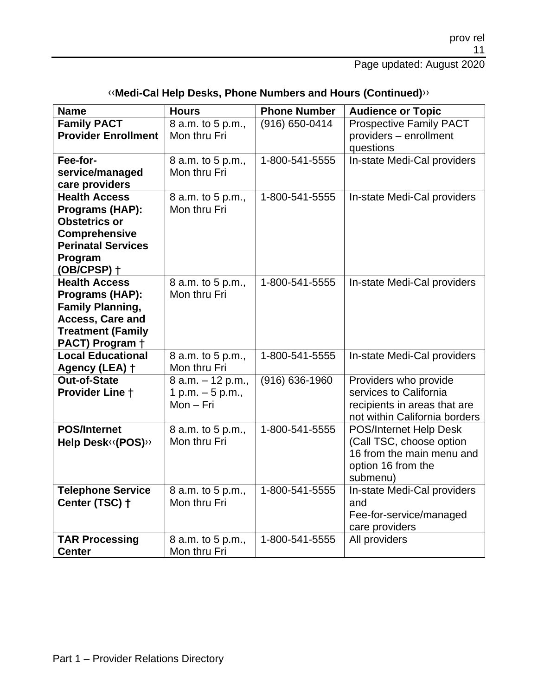| <b>Name</b>                               | <b>Hours</b>      | <b>Phone Number</b> | <b>Audience or Topic</b>       |
|-------------------------------------------|-------------------|---------------------|--------------------------------|
| <b>Family PACT</b>                        | 8 a.m. to 5 p.m., | (916) 650-0414      | <b>Prospective Family PACT</b> |
| <b>Provider Enrollment</b>                | Mon thru Fri      |                     | providers - enrollment         |
|                                           |                   |                     | questions                      |
| Fee-for-                                  | 8 a.m. to 5 p.m., | 1-800-541-5555      | In-state Medi-Cal providers    |
| service/managed                           | Mon thru Fri      |                     |                                |
| care providers                            |                   |                     |                                |
| <b>Health Access</b>                      | 8 a.m. to 5 p.m., | 1-800-541-5555      | In-state Medi-Cal providers    |
| Programs (HAP):                           | Mon thru Fri      |                     |                                |
| <b>Obstetrics or</b>                      |                   |                     |                                |
| Comprehensive                             |                   |                     |                                |
| <b>Perinatal Services</b>                 |                   |                     |                                |
| Program                                   |                   |                     |                                |
| $(OB/CPSP)$ +                             |                   |                     |                                |
| <b>Health Access</b>                      | 8 a.m. to 5 p.m., | 1-800-541-5555      | In-state Medi-Cal providers    |
| Programs (HAP):                           | Mon thru Fri      |                     |                                |
| <b>Family Planning,</b>                   |                   |                     |                                |
| <b>Access, Care and</b>                   |                   |                     |                                |
| <b>Treatment (Family</b>                  |                   |                     |                                |
| PACT) Program +                           |                   |                     |                                |
| <b>Local Educational</b>                  | 8 a.m. to 5 p.m., | 1-800-541-5555      | In-state Medi-Cal providers    |
| Agency (LEA) +                            | Mon thru Fri      |                     |                                |
| <b>Out-of-State</b>                       | 8 a.m. - 12 p.m., | $(916) 636 - 1960$  | Providers who provide          |
| <b>Provider Line +</b>                    | 1 p.m. $-5$ p.m., |                     | services to California         |
|                                           | Mon - Fri         |                     | recipients in areas that are   |
|                                           |                   |                     | not within California borders  |
| <b>POS/Internet</b>                       | 8 a.m. to 5 p.m., | 1-800-541-5555      | POS/Internet Help Desk         |
| Help Desk <sup>((</sup> POS) <sup>)</sup> | Mon thru Fri      |                     | (Call TSC, choose option       |
|                                           |                   |                     | 16 from the main menu and      |
|                                           |                   |                     | option 16 from the             |
|                                           |                   |                     | submenu)                       |
| <b>Telephone Service</b>                  | 8 a.m. to 5 p.m., | 1-800-541-5555      | In-state Medi-Cal providers    |
| Center (TSC) +                            | Mon thru Fri      |                     | and                            |
|                                           |                   |                     | Fee-for-service/managed        |
|                                           |                   |                     | care providers                 |
| <b>TAR Processing</b>                     | 8 a.m. to 5 p.m., | 1-800-541-5555      | All providers                  |
| <b>Center</b>                             | Mon thru Fri      |                     |                                |

### [‹‹](#page-12-0)**Medi-Cal Help Desks, Phone Numbers and Hours (Continued)**[››](#page-12-1)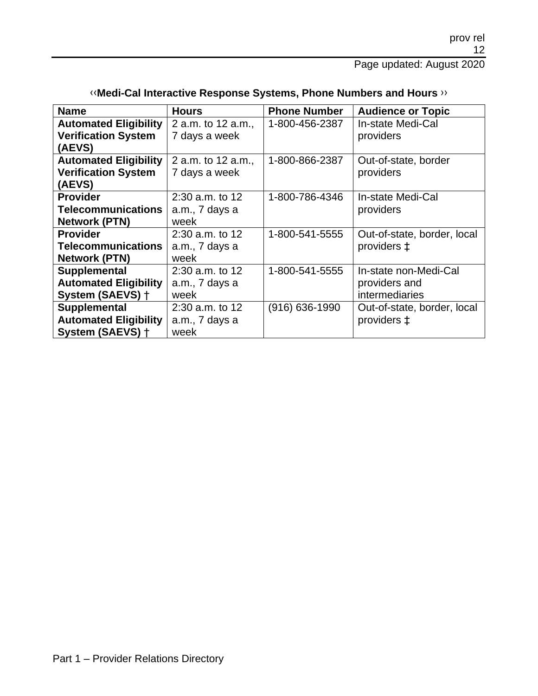| <b>Name</b>                  | <b>Hours</b>       | <b>Phone Number</b> | <b>Audience or Topic</b>    |
|------------------------------|--------------------|---------------------|-----------------------------|
| <b>Automated Eligibility</b> | 2 a.m. to 12 a.m., | 1-800-456-2387      | In-state Medi-Cal           |
| <b>Verification System</b>   | 7 days a week      |                     | providers                   |
| (AEVS)                       |                    |                     |                             |
| <b>Automated Eligibility</b> | 2 a.m. to 12 a.m., | 1-800-866-2387      | Out-of-state, border        |
| <b>Verification System</b>   | 7 days a week      |                     | providers                   |
| (AEVS)                       |                    |                     |                             |
| <b>Provider</b>              | $2:30$ a.m. to 12  | 1-800-786-4346      | In-state Medi-Cal           |
| <b>Telecommunications</b>    | a.m., 7 days a     |                     | providers                   |
| <b>Network (PTN)</b>         | week               |                     |                             |
| <b>Provider</b>              | $2:30$ a.m. to 12  | 1-800-541-5555      | Out-of-state, border, local |
| <b>Telecommunications</b>    | a.m., 7 days a     |                     | providers ±                 |
| <b>Network (PTN)</b>         | week               |                     |                             |
| Supplemental                 | $2:30$ a.m. to 12  | 1-800-541-5555      | In-state non-Medi-Cal       |
| <b>Automated Eligibility</b> | a.m., 7 days a     |                     | providers and               |
| System (SAEVS) +             | week               |                     | intermediaries              |
| Supplemental                 | $2:30$ a.m. to 12  | (916) 636-1990      | Out-of-state, border, local |
| <b>Automated Eligibility</b> | a.m., 7 days a     |                     | providers $\ddagger$        |
| System (SAEVS) +             | week               |                     |                             |

### [‹‹](#page-12-0)**Medi-Cal Interactive Response Systems, Phone Numbers and Hours** [››](#page-12-1)